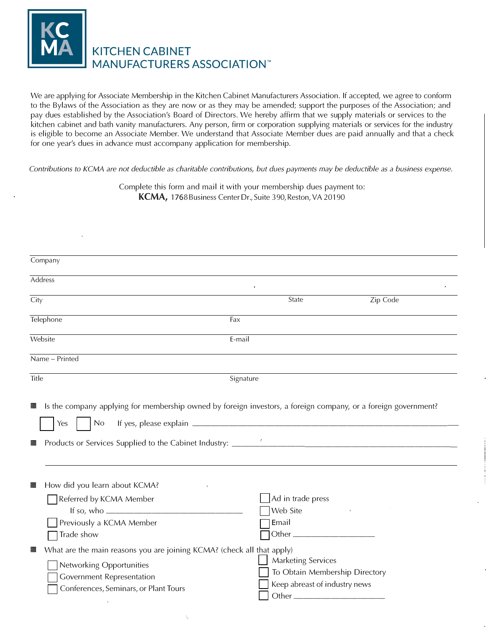

## **KITCHEN CABINET MANUFACTURERS ASSOCIATION™**

We are applying for Associate Membership in the Kitchen Cabinet Manufacturers Association. If accepted, we agree to conform to the Bylaws of the Association as they are now or as they may be amended; support the purposes of the Association; and pay dues established by the Association's Board of Directors. We hereby affirm that we supply materials or services to the kitchen cabinet and bath vanity manufacturers. Any person, firm or corporation supplying materials or services for the industry is eligible to become an Associate Member. We understand that Associate Member dues are paid annually and that a check for one year's dues in advance must accompany application for membership.

*Contributions to KCMA are not deductible as charitable contributions, but dues payments may be deductible as a business expense.* 

Complete this form and mail it with your membership dues payment to: **KCMA,** 1768 Business Center Dr., Suite 390, Reston, VA 20190

| Company                                                                                                                                                                              |                                                                                              |          |
|--------------------------------------------------------------------------------------------------------------------------------------------------------------------------------------|----------------------------------------------------------------------------------------------|----------|
| Address                                                                                                                                                                              |                                                                                              |          |
| City                                                                                                                                                                                 | State                                                                                        | Zip Code |
| Telephone                                                                                                                                                                            | Fax                                                                                          |          |
| Website                                                                                                                                                                              | E-mail                                                                                       |          |
| Name - Printed                                                                                                                                                                       |                                                                                              |          |
| Title                                                                                                                                                                                | Signature                                                                                    |          |
| No<br>Yes<br>顯                                                                                                                                                                       |                                                                                              |          |
| How did you learn about KCMA?<br>S.<br>Referred by KCMA Member<br>If so, who $\frac{1}{2}$<br>Previously a KCMA Member<br>Trade show                                                 | Ad in trade press<br>Web Site<br>Email                                                       |          |
| What are the main reasons you are joining KCMA? (check all that apply)<br>H<br>Networking Opportunities<br><b>Government Representation</b><br>Conferences, Seminars, or Plant Tours | <b>Marketing Services</b><br>To Obtain Membership Directory<br>Keep abreast of industry news |          |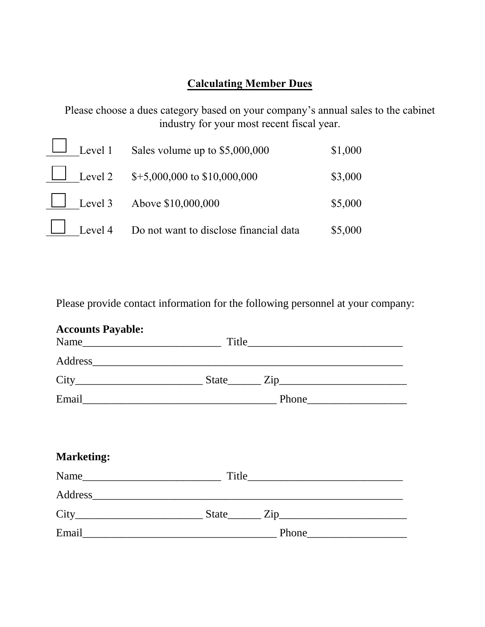## **Calculating Member Dues**

Please choose a dues category based on your company's annual sales to the cabinet industry for your most recent fiscal year.

|  | Level 1 Sales volume up to \$5,000,000                | \$1,000 |
|--|-------------------------------------------------------|---------|
|  | Level 2 $$+5,000,000$ to \$10,000,000                 | \$3,000 |
|  | Level 3 Above $$10,000,000$                           | \$5,000 |
|  | $\Box$ Level 4 Do not want to disclose financial data | \$5,000 |

Please provide contact information for the following personnel at your company:

| <b>Accounts Payable:</b> |  |  |
|--------------------------|--|--|
|                          |  |  |
|                          |  |  |
|                          |  |  |
| <b>Marketing:</b>        |  |  |
| Name                     |  |  |
|                          |  |  |
|                          |  |  |
|                          |  |  |